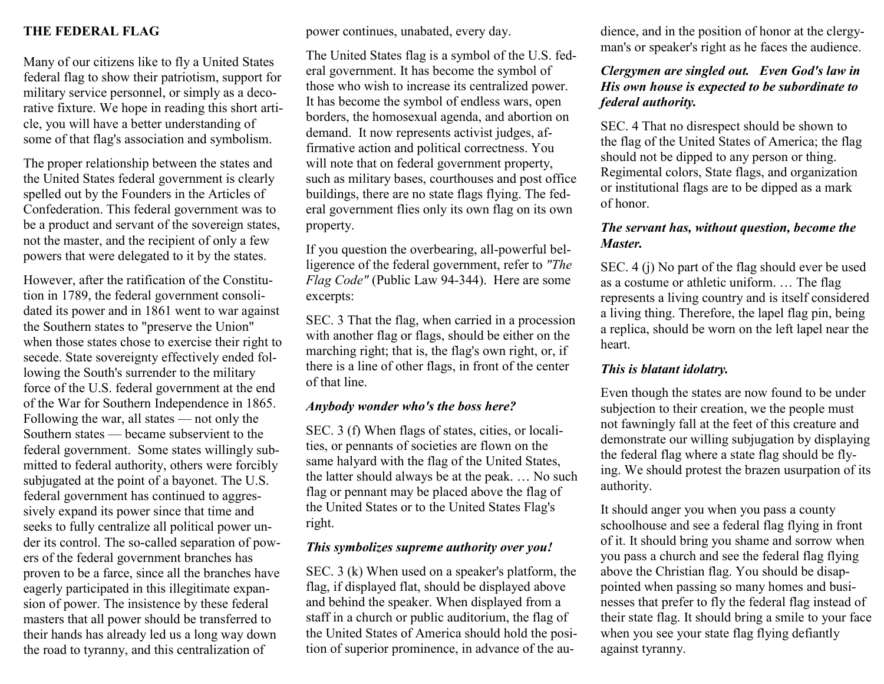## **THE FEDERAL FLAG**

Many of our citizens like to fly a United States federal flag to show their patriotism, support for military service personnel, or simply as a decorative fixture. We hope in reading this short article, you will have a better understanding of some of that flag's association and symbolism.

The proper relationship between the states and the United States federal government is clearly spelled out by the Founders in the Articles of Confederation. This federal government was to be a product and servant of the sovereign states, not the master, and the recipient of only a few powers that were delegated to it by the states.

However, after the ratification of the Constitution in 1789, the federal government consolidated its power and in 1861 went to war against the Southern states to "preserve the Union" when those states chose to exercise their right to secede. State sovereignty effectively ended following the South's surrender to the military force of the U.S. federal government at the end of the War for Southern Independence in 1865. Following the war, all states — not only the Southern states — became subservient to the federal government. Some states willingly submitted to federal authority, others were forcibly subjugated at the point of a bayonet. The U.S. federal government has continued to aggressively expand its power since that time and seeks to fully centralize all political power under its control. The so-called separation of powers of the federal government branches has proven to be a farce, since all the branches have eagerly participated in this illegitimate expansion of power. The insistence by these federal masters that all power should be transferred to their hands has already led us a long way down the road to tyranny, and this centralization of

power continues, unabated, every day.

The United States flag is a symbol of the U.S. federal government. It has become the symbol of those who wish to increase its centralized power. It has become the symbol of endless wars, open borders, the homosexual agenda, and abortion on demand. It now represents activist judges, affirmative action and political correctness. You will note that on federal government property, such as military bases, courthouses and post office buildings, there are no state flags flying. The federal government flies only its own flag on its own property.

If you question the overbearing, all-powerful belligerence of the federal government, refer to *"The Flag Code"* (Public Law 94-344). Here are some excerpts:

SEC. 3 That the flag, when carried in a procession with another flag or flags, should be either on the marching right; that is, the flag's own right, or, if there is a line of other flags, in front of the center of that line.

#### *Anybody wonder who's the boss here?*

SEC. 3 (f) When flags of states, cities, or localities, or pennants of societies are flown on the same halyard with the flag of the United States, the latter should always be at the peak. … No such flag or pennant may be placed above the flag of the United States or to the United States Flag's right.

#### *This symbolizes supreme authority over you!*

SEC. 3 (k) When used on a speaker's platform, the flag, if displayed flat, should be displayed above and behind the speaker. When displayed from a staff in a church or public auditorium, the flag of the United States of America should hold the position of superior prominence, in advance of the audience, and in the position of honor at the clergyman's or speaker's right as he faces the audience.

## *Clergymen are singled out. Even God's law in His own house is expected to be subordinate to federal authority.*

SEC. 4 That no disrespect should be shown to the flag of the United States of America; the flag should not be dipped to any person or thing. Regimental colors, State flags, and organization or institutional flags are to be dipped as a mark of honor.

#### *The servant has, without question, become the Master.*

SEC. 4 (j) No part of the flag should ever be used as a costume or athletic uniform. … The flag represents a living country and is itself considered a living thing. Therefore, the lapel flag pin, being a replica, should be worn on the left lapel near the heart.

### *This is blatant idolatry.*

Even though the states are now found to be under subjection to their creation, we the people must not fawningly fall at the feet of this creature and demonstrate our willing subjugation by displaying the federal flag where a state flag should be flying. We should protest the brazen usurpation of its authority.

It should anger you when you pass a county schoolhouse and see a federal flag flying in front of it. It should bring you shame and sorrow when you pass a church and see the federal flag flying above the Christian flag. You should be disappointed when passing so many homes and businesses that prefer to fly the federal flag instead of their state flag. It should bring a smile to your face when you see your state flag flying defiantly against tyranny.